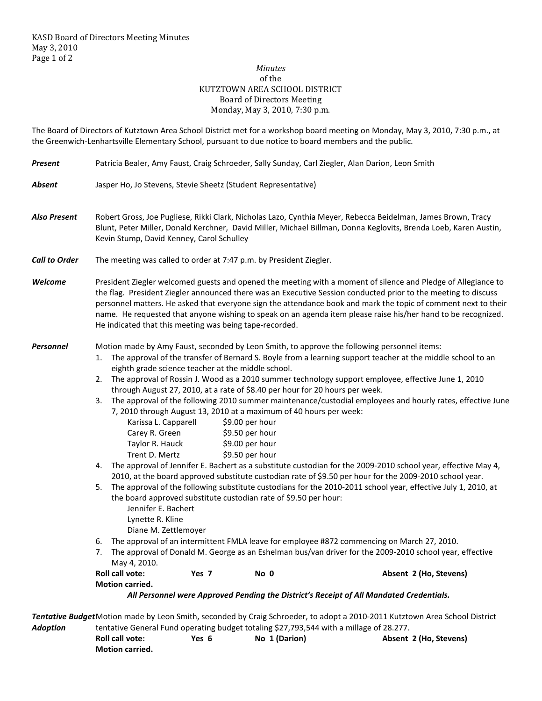## *Minutes*  of the KUTZTOWN AREA SCHOOL DISTRICT Board of Directors Meeting Monday, May 3, 2010, 7:30 p.m.

The Board of Directors of Kutztown Area School District met for a workshop board meeting on Monday, May 3, 2010, 7:30 p.m., at the Greenwich-Lenhartsville Elementary School, pursuant to due notice to board members and the public.

| <b>Present</b>       | Patricia Bealer, Amy Faust, Craig Schroeder, Sally Sunday, Carl Ziegler, Alan Darion, Leon Smith                                                                                                                                                                                                                                                                                                                                                                                                                                                                                                                                                                                                                                                                                                                                                                                                                                                                                                                                                                                                                                                                                                                                                                                                                                                                                                                                                                                                                                                                                                                                                                                                                                    |  |  |  |  |  |
|----------------------|-------------------------------------------------------------------------------------------------------------------------------------------------------------------------------------------------------------------------------------------------------------------------------------------------------------------------------------------------------------------------------------------------------------------------------------------------------------------------------------------------------------------------------------------------------------------------------------------------------------------------------------------------------------------------------------------------------------------------------------------------------------------------------------------------------------------------------------------------------------------------------------------------------------------------------------------------------------------------------------------------------------------------------------------------------------------------------------------------------------------------------------------------------------------------------------------------------------------------------------------------------------------------------------------------------------------------------------------------------------------------------------------------------------------------------------------------------------------------------------------------------------------------------------------------------------------------------------------------------------------------------------------------------------------------------------------------------------------------------------|--|--|--|--|--|
| <b>Absent</b>        | Jasper Ho, Jo Stevens, Stevie Sheetz (Student Representative)                                                                                                                                                                                                                                                                                                                                                                                                                                                                                                                                                                                                                                                                                                                                                                                                                                                                                                                                                                                                                                                                                                                                                                                                                                                                                                                                                                                                                                                                                                                                                                                                                                                                       |  |  |  |  |  |
| <b>Also Present</b>  | Robert Gross, Joe Pugliese, Rikki Clark, Nicholas Lazo, Cynthia Meyer, Rebecca Beidelman, James Brown, Tracy<br>Blunt, Peter Miller, Donald Kerchner, David Miller, Michael Billman, Donna Keglovits, Brenda Loeb, Karen Austin,<br>Kevin Stump, David Kenney, Carol Schulley                                                                                                                                                                                                                                                                                                                                                                                                                                                                                                                                                                                                                                                                                                                                                                                                                                                                                                                                                                                                                                                                                                                                                                                                                                                                                                                                                                                                                                                       |  |  |  |  |  |
| <b>Call to Order</b> | The meeting was called to order at 7:47 p.m. by President Ziegler.                                                                                                                                                                                                                                                                                                                                                                                                                                                                                                                                                                                                                                                                                                                                                                                                                                                                                                                                                                                                                                                                                                                                                                                                                                                                                                                                                                                                                                                                                                                                                                                                                                                                  |  |  |  |  |  |
| Welcome              | President Ziegler welcomed guests and opened the meeting with a moment of silence and Pledge of Allegiance to<br>the flag. President Ziegler announced there was an Executive Session conducted prior to the meeting to discuss<br>personnel matters. He asked that everyone sign the attendance book and mark the topic of comment next to their<br>name. He requested that anyone wishing to speak on an agenda item please raise his/her hand to be recognized.<br>He indicated that this meeting was being tape-recorded.                                                                                                                                                                                                                                                                                                                                                                                                                                                                                                                                                                                                                                                                                                                                                                                                                                                                                                                                                                                                                                                                                                                                                                                                       |  |  |  |  |  |
| Personnel            | Motion made by Amy Faust, seconded by Leon Smith, to approve the following personnel items:<br>The approval of the transfer of Bernard S. Boyle from a learning support teacher at the middle school to an<br>1.<br>eighth grade science teacher at the middle school.<br>The approval of Rossin J. Wood as a 2010 summer technology support employee, effective June 1, 2010<br>2.<br>through August 27, 2010, at a rate of \$8.40 per hour for 20 hours per week.<br>The approval of the following 2010 summer maintenance/custodial employees and hourly rates, effective June<br>3.<br>7, 2010 through August 13, 2010 at a maximum of 40 hours per week:<br>Karissa L. Capparell<br>\$9.00 per hour<br>Carey R. Green<br>\$9.50 per hour<br>Taylor R. Hauck<br>\$9.00 per hour<br>Trent D. Mertz<br>\$9.50 per hour<br>The approval of Jennifer E. Bachert as a substitute custodian for the 2009-2010 school year, effective May 4,<br>4.<br>2010, at the board approved substitute custodian rate of \$9.50 per hour for the 2009-2010 school year.<br>The approval of the following substitute custodians for the 2010-2011 school year, effective July 1, 2010, at<br>5.<br>the board approved substitute custodian rate of \$9.50 per hour:<br>Jennifer E. Bachert<br>Lynette R. Kline<br>Diane M. Zettlemoyer<br>The approval of an intermittent FMLA leave for employee #872 commencing on March 27, 2010.<br>6.<br>The approval of Donald M. George as an Eshelman bus/van driver for the 2009-2010 school year, effective<br>May 4, 2010.<br>Yes 7<br>No 0<br>Roll call vote:<br>Absent 2 (Ho, Stevens)<br>Motion carried.<br>All Personnel were Approved Pending the District's Receipt of All Mandated Credentials. |  |  |  |  |  |
|                      |                                                                                                                                                                                                                                                                                                                                                                                                                                                                                                                                                                                                                                                                                                                                                                                                                                                                                                                                                                                                                                                                                                                                                                                                                                                                                                                                                                                                                                                                                                                                                                                                                                                                                                                                     |  |  |  |  |  |
| <b>Adoption</b>      | Tentative BudgetMotion made by Leon Smith, seconded by Craig Schroeder, to adopt a 2010-2011 Kutztown Area School District<br>tentative General Fund operating budget totaling \$27,793,544 with a millage of 28.277.                                                                                                                                                                                                                                                                                                                                                                                                                                                                                                                                                                                                                                                                                                                                                                                                                                                                                                                                                                                                                                                                                                                                                                                                                                                                                                                                                                                                                                                                                                               |  |  |  |  |  |

|                        |       | telliguve delletal nullu operatilig buuget totalliig 327,793,344 witti a liilligge ol 20.277. |                        |
|------------------------|-------|-----------------------------------------------------------------------------------------------|------------------------|
| <b>Roll call vote:</b> | Yes 6 | No 1 (Darion)                                                                                 | Absent 2 (Ho, Stevens) |
| <b>Motion carried.</b> |       |                                                                                               |                        |